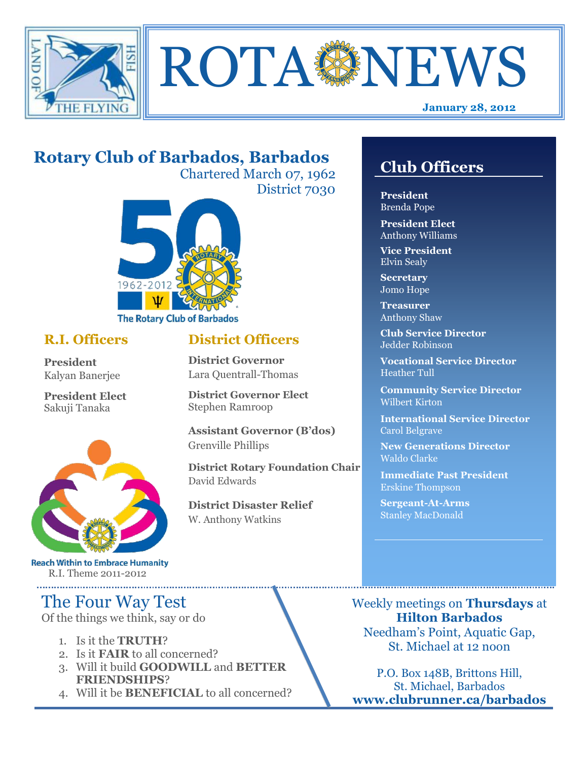



# **Rotary Club of Barbados, Barbados**

Chartered March 07, 1962 District 7030

**District Officers**

**District Governor Elect**

**District Disaster Relief**

W. Anthony Watkins

**Assistant Governor (B'dos)**

**District Rotary Foundation Chair**

**District Governor** Lara Quentrall-Thomas

Stephen Ramroop

Grenville Phillips

David Edwards



### **R.I. Officers**

**President**  Kalyan Banerjee

**President Elect** Sakuji Tanaka



**Reach Within to Embrace Humanity** R.I. Theme 2011-2012

## The Four Way Test

Of the things we think, say or do

- 1. Is it the **TRUTH**?
- 2. Is it **FAIR** to all concerned?
- 3. Will it build **GOODWILL** and **BETTER FRIENDSHIPS**?
- 4. Will it be **BENEFICIAL** to all concerned?

## **Club Officers**

**Club Officers** 

**President** Brenda Pope

**President Elect** Anthony Williams

**Vice President** Elvin Sealy

**Secretary** Jomo Hope

**Treasurer** Anthony Shaw

**Club Service Director** Jedder Robinson

**Vocational Service Director** Heather Tull

**Community Service Director** Wilbert Kirton

**International Service Director** Carol Belgrave

**New Generations Director** Waldo Clarke

**Immediate Past President** Erskine Thompson

**Sergeant-At-Arms** Stanley MacDonald

Weekly meetings on **Thursdays** at **Hilton Barbados** Needham's Point, Aquatic Gap, St. Michael at 12 noon

P.O. Box 148B, Brittons Hill, St. Michael, Barbados **www.clubrunner.ca/barbados**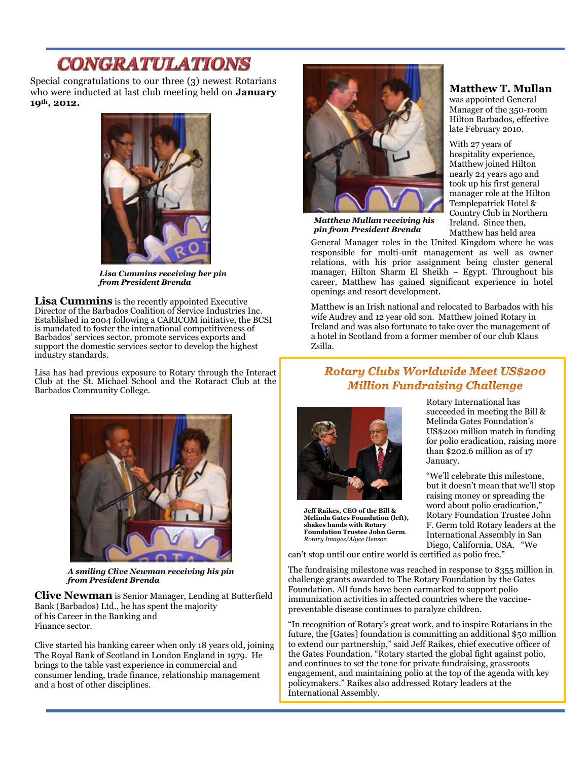# **CONGRATULATIONS**

Special congratulations to our three (3) newest Rotarians who were inducted at last club meeting held on **January 19th, 2012.** 



*Lisa Cummins receiving her pin from President Brenda*

**Lisa Cummins** is the recently appointed Executive Director of the Barbados Coalition of Service Industries Inc. Established in 2004 following a CARICOM initiative, the BCSI is mandated to foster the international competitiveness of Barbados' services sector, promote services exports and support the domestic services sector to develop the highest industry standards.

Lisa has had previous exposure to Rotary through the Interact Club at the St. Michael School and the Rotaract Club at the Barbados Community College.



*A smiling Clive Newman receiving his pin from President Brenda*

**Clive Newman** is Senior Manager, Lending at Butterfield Bank (Barbados) Ltd., he has spent the majority of his Career in the Banking and Finance sector.

Clive started his banking career when only 18 years old, joining The Royal Bank of Scotland in London England in 1979. He brings to the table vast experience in commercial and consumer lending, trade finance, relationship management and a host of other disciplines.



*Matthew Mullan receiving his pin from President Brenda*

General Manager roles in the United Kingdom where he was responsible for multi-unit management as well as owner relations, with his prior assignment being cluster general manager, Hilton Sharm El Sheikh – Egypt. Throughout his career, Matthew has gained significant experience in hotel openings and resort development.

Matthew is an Irish national and relocated to Barbados with his wife Audrey and 12 year old son. Matthew joined Rotary in Ireland and was also fortunate to take over the management of a hotel in Scotland from a former member of our club Klaus Zsilla.

#### **Rotary Clubs Worldwide Meet US\$200 Million Fundraising Challenge**



**Jeff Raikes, CEO of the Bill & Melinda Gates Foundation (left), shakes hands with Rotary Foundation Trustee John Germ**. *Rotary Images/Alyce Henson*

Rotary International has succeeded in meeting the Bill & Melinda Gates Foundation's US\$200 million match in funding for polio eradication, raising more than \$202.6 million as of 17 January.

"We'll celebrate this milestone, but it doesn't mean that we'll stop raising money or spreading the word about polio eradication," Rotary Foundation Trustee John F. Germ told Rotary leaders at the International Assembly in San Diego, California, USA. "We

can't stop until our entire world is certified as polio free."

The fundraising milestone was reached in response to \$355 million in challenge grants awarded to The Rotary Foundation by the Gates Foundation. All funds have been earmarked to support polio immunization activities in affected countries where the vaccinepreventable disease continues to paralyze children.

"In recognition of Rotary's great work, and to inspire Rotarians in the future, the [Gates] foundation is committing an additional \$50 million to extend our partnership," said Jeff Raikes, chief executive officer of the Gates Foundation. "Rotary started the global fight against polio, and continues to set the tone for private fundraising, grassroots engagement, and maintaining polio at the top of the agenda with key policymakers." Raikes also addressed Rotary leaders at the International Assembly.

#### **Matthew T. Mullan**

was appointed General Manager of the 350-room Hilton Barbados, effective late February 2010.

With 27 years of hospitality experience, Matthew joined Hilton nearly 24 years ago and took up his first general manager role at the Hilton Templepatrick Hotel & Country Club in Northern Ireland. Since then, Matthew has held area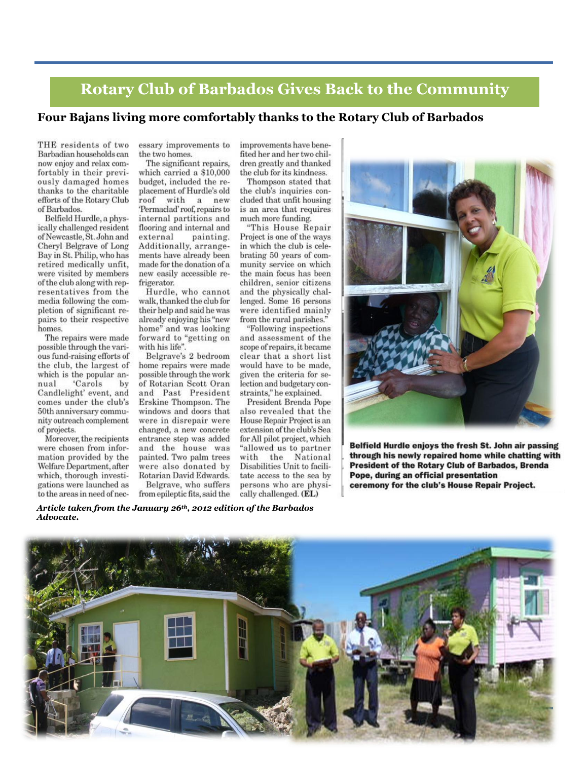## **Rotary Club of Barbados Gives Back to the Community**

#### Four Bajans living more comfortably thanks to the Rotary Club of Barbados

THE residents of two Barbadian households can now enjoy and relax comfortably in their previously damaged homes thanks to the charitable efforts of the Rotary Club of Barbados.

Belfield Hurdle, a physically challenged resident of Newcastle, St. John and Cheryl Belgrave of Long Bay in St. Philip, who has retired medically unfit. were visited by members of the club along with representatives from the media following the completion of significant repairs to their respective homes.

The repairs were made possible through the various fund-raising efforts of the club, the largest of which is the popular an-'Carols nual by Candlelight' event, and comes under the club's 50th anniversary community outreach complement of projects.

Moreover, the recipients were chosen from information provided by the Welfare Department, after which, thorough investigations were launched as to the areas in need of necessary improvements to the two homes.

The significant repairs, which carried a \$10,000 budget, included the replacement of Hurdle's old roof with  $\mathbf{a}$ new 'Permaclad' roof, repairs to internal partitions and flooring and internal and painting. external Additionally, arrangements have already been made for the donation of a new easily accessible refrigerator.

Hurdle, who cannot walk, thanked the club for their help and said he was already enjoying his "new home" and was looking forward to "getting on with his life".

Belgrave's 2 bedroom home repairs were made possible through the work of Rotarian Scott Oran and Past President Erskine Thompson. The windows and doors that were in disrepair were changed, a new concrete entrance step was added and the house was painted. Two palm trees were also donated by Rotarian David Edwards.

Belgrave, who suffers from epileptic fits, said the improvements have benefited her and her two children greatly and thanked the club for its kindness.

Thompson stated that the club's inquiries concluded that unfit housing is an area that requires much more funding.

"This House Repair Project is one of the ways in which the club is celebrating 50 years of community service on which the main focus has been children, senior citizens and the physically challenged. Some 16 persons were identified mainly from the rural parishes."

"Following inspections and assessment of the scope of repairs, it became clear that a short list would have to be made, given the criteria for selection and budgetary constraints," he explained.

President Brenda Pope also revealed that the House Repair Project is an extension of the club's Sea for All pilot project, which "allowed us to partner with the National Disabilities Unit to facilitate access to the sea by persons who are physically challenged. (EL)



Belfield Hurdle enjoys the fresh St. John air passing through his newly repaired home while chatting with **President of the Rotary Club of Barbados, Brenda** Pope, during an official presentation ceremony for the club's House Repair Project.

Article taken from the January 26th, 2012 edition of the Barbados Advocate.